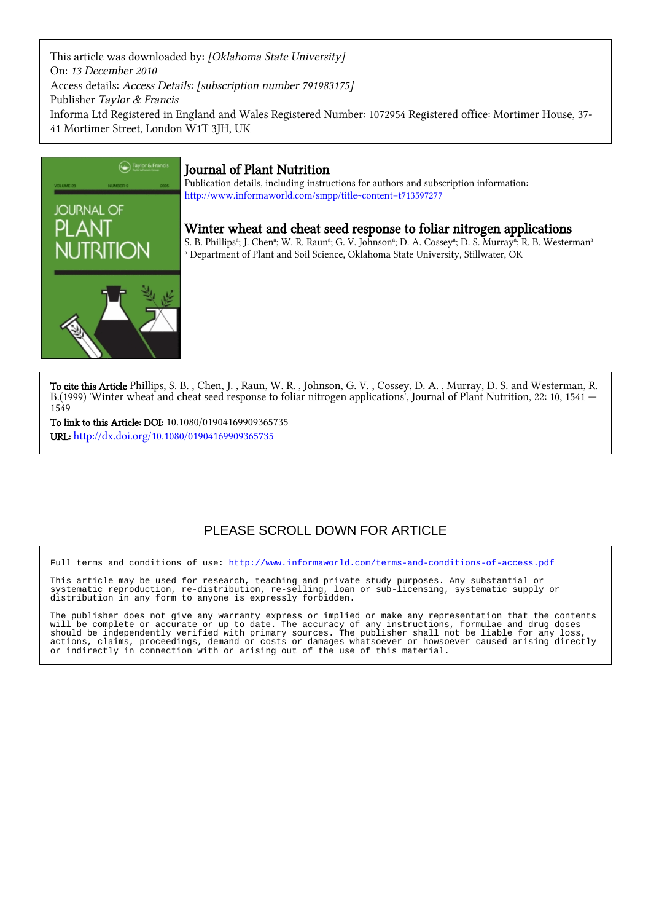This article was downloaded by: [Oklahoma State University] On: 13 December 2010 Access details: Access Details: [subscription number 791983175] Publisher Taylor & Francis Informa Ltd Registered in England and Wales Registered Number: 1072954 Registered office: Mortimer House, 37- 41 Mortimer Street, London W1T 3JH, UK



### Journal of Plant Nutrition

Publication details, including instructions for authors and subscription information: <http://www.informaworld.com/smpp/title~content=t713597277>

Winter wheat and cheat seed response to foliar nitrogen applications

S. B. Phillipsª; J. Chenª; W. R. Raunª; G. V. Johnsonª; D. A. Cosseyª; D. S. Murrayª; R. B. Westermanª a Department of Plant and Soil Science, Oklahoma State University, Stillwater, OK

To cite this Article Phillips, S. B., Chen, J., Raun, W. R., Johnson, G. V., Cossey, D. A., Murray, D. S. and Westerman, R. B.(1999) 'Winter wheat and cheat seed response to foliar nitrogen applications', Journal of Plant Nutrition, 22: 10, 1541 — 1549

To link to this Article: DOI: 10.1080/01904169909365735 URL: <http://dx.doi.org/10.1080/01904169909365735>

## PLEASE SCROLL DOWN FOR ARTICLE

Full terms and conditions of use:<http://www.informaworld.com/terms-and-conditions-of-access.pdf>

This article may be used for research, teaching and private study purposes. Any substantial or systematic reproduction, re-distribution, re-selling, loan or sub-licensing, systematic supply or distribution in any form to anyone is expressly forbidden.

The publisher does not give any warranty express or implied or make any representation that the contents will be complete or accurate or up to date. The accuracy of any instructions, formulae and drug doses should be independently verified with primary sources. The publisher shall not be liable for any loss, actions, claims, proceedings, demand or costs or damages whatsoever or howsoever caused arising directly or indirectly in connection with or arising out of the use of this material.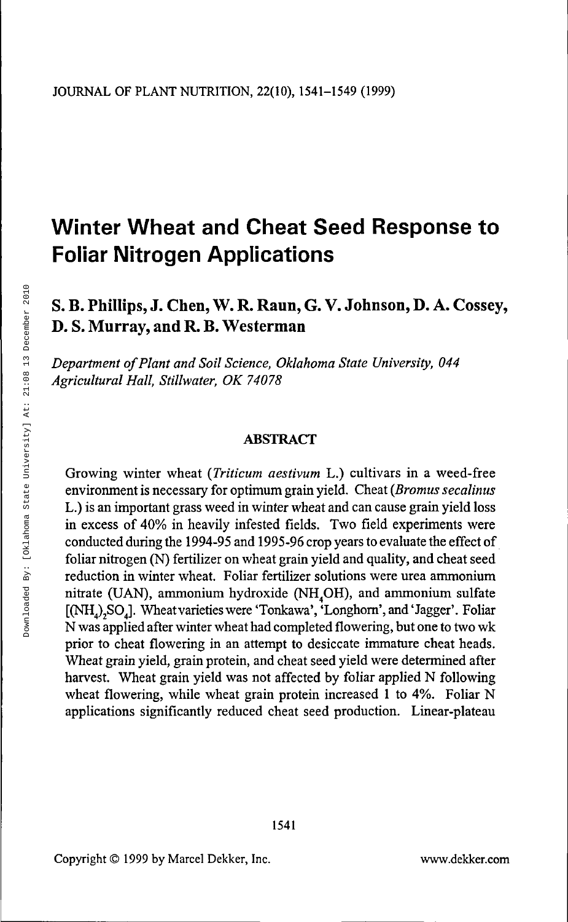# **Winter Wheat and Cheat Seed Response to Foliar Nitrogen Applications**

### S. B. Phillips, J. Chen, W. R. Raun, G. V. Johnson, D. A. Cossey, D. S. Murray, and R. B. Westerman

*Department of Plant and Soil Science, Oklahoma State University, 044 Agricultural Hall, Stillwater, OK 74078*

#### ABSTRACT

Growing winter wheat *(Triticum aestivum* L.) cultivars in a weed-free environment is necessary for optimum grain yield. Cheat *(Bromus secalinus* L.) is an important grass weed in winter wheat and can cause grain yield loss in excess of 40% in heavily infested fields. Two field experiments were conducted during the 1994-95 and 1995-96 crop years to evaluate the effect of foliar nitrogen (N) fertilizer on wheat grain yield and quality, and cheat seed reduction in winter wheat. Foliar fertilizer solutions were urea ammonium nitrate (UAN), ammonium hydroxide (NH<sub>4</sub>OH), and ammonium sulfate [(NH,)<sub>2</sub>SO<sub>1</sub>]. Wheat varieties were 'Tonkawa', 'Longhorn', and 'Jagger'. Foliar N was applied after winter wheat had completed flowering, but one to two wk prior to cheat flowering in an attempt to desiccate immature cheat heads. Wheat grain yield, grain protein, and cheat seed yield were determined after harvest. Wheat grain yield was not affected by foliar applied N following wheat flowering, while wheat grain protein increased 1 to 4%. Foliar N applications significantly reduced cheat seed production. Linear-plateau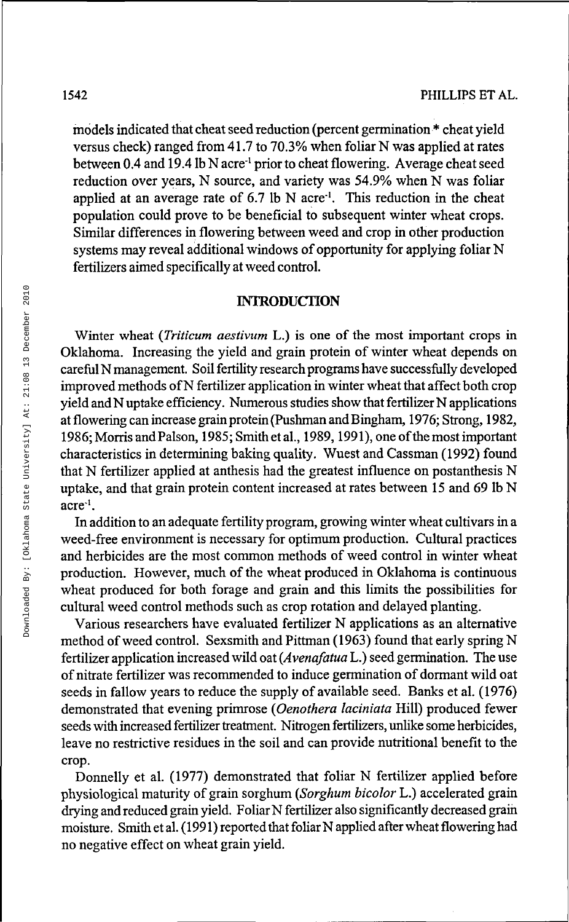models indicated that cheat seed reduction (percent germination \* cheat yield versus check) ranged from 41.7 to 70.3% when foliar N was applied at rates between 0.4 and 19.4 lb N acre<sup>-1</sup> prior to cheat flowering. Average cheat seed reduction over years, N source, and variety was 54.9% when N was foliar applied at an average rate of 6.7 lb N acre<sup>-1</sup>. This reduction in the cheat population could prove to be beneficial to subsequent winter wheat crops. Similar differences in flowering between weed and crop in other production systems may reveal additional windows of opportunity for applying foliar N fertilizers aimed specifically at weed control.

#### **INTRODUCTION**

Winter wheat *(Triticum aestivum* L.) is one of the most important crops in Oklahoma. Increasing the yield and grain protein of winter wheat depends on careful N management. Soil fertility research programs have successfully developed improved methods of N fertilizer application in winter wheat that affect both crop yield and N uptake efficiency. Numerous studies show that fertilizer N applications at flowering can increase grain protein (Pushman and Bingham, 1976; Strong, 1982, 1986; Morris and Palson, 1985; Smith et al., 1989, 1991), one of the most important characteristics in determining baking quality. Wuest and Cassman (1992) found that N fertilizer applied at anthesis had the greatest influence on postanthesis N uptake, and that grain protein content increased at rates between 15 and 69 lb N  $\arccos 1$ .

In addition to an adequate fertility program, growing winter wheat cultivars in a weed-free environment is necessary for optimum production. Cultural practices and herbicides are the most common methods of weed control in winter wheat production. However, much of the wheat produced in Oklahoma is continuous wheat produced for both forage and grain and this limits the possibilities for cultural weed control methods such as crop rotation and delayed planting.

Various researchers have evaluated fertilizer N applications as an alternative method of weed control. Sexsmith and Pittman (1963) found that early spring N fertilizer application increased wild oat *(Avenafatua* L.) seed germination. The use of nitrate fertilizer was recommended to induce germination of dormant wild oat seeds in fallow years to reduce the supply of available seed. Banks et al. (1976) demonstrated that evening primrose *(Oenothera laciniata* Hill) produced fewer seeds with increased fertilizer treatment. Nitrogen fertilizers, unlike some herbicides, leave no restrictive residues in the soil and can provide nutritional benefit to the crop.

Donnelly et al. (1977) demonstrated that foliar N fertilizer applied before physiological maturity of grain sorghum *{Sorghum bicolor* L.) accelerated grain drying and reduced grain yield. Foliar N fertilizer also significantly decreased grain moisture. Smith et al. (1991) reported that foliar N applied after wheat flowering had no negative effect on wheat grain yield.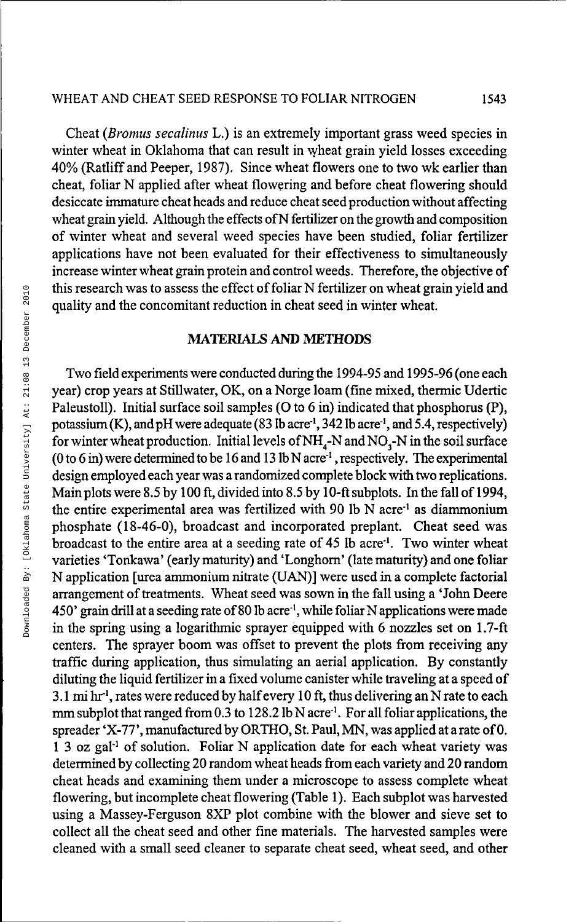Cheat *(Bromus secalinus* L.) is an extremely important grass weed species in winter wheat in Oklahoma that can result in wheat grain yield losses exceeding 40% (Ratliff and Peeper, 1987). Since wheat flowers one to two wk earlier than cheat, foliar N applied after wheat flowering and before cheat flowering should desiccate immature cheat heads and reduce cheat seed production without affecting wheat grain yield. Although the effects of N fertilizer on the growth and composition of winter wheat and several weed species have been studied, foliar fertilizer applications have not been evaluated for their effectiveness to simultaneously increase winter wheat grain protein and control weeds. Therefore, the objective of this research was to assess the effect of foliar N fertilizer on wheat grain yield and quality and the concomitant reduction in cheat seed in winter wheat.

#### MATERIALS **AND METHODS**

Two field experiments were conducted during the 1994-95 and 1995-96 (one each year) crop years at Stillwater, OK, on a Norge loam (fine mixed, thermic Udertic Paleustoll). Initial surface soil samples (O to 6 in) indicated that phosphorus (P), potassium (K), and pH were adequate (83 lb acre<sup>-1</sup>, 342 lb acre<sup>-1</sup>, and 5.4, respectively) for winter wheat production. Initial levels of  $NH<sub>4</sub>-N$  and  $NO<sub>3</sub>-N$  in the soil surface (0 to 6 in) were determined to be 16 and 13 lb N acre<sup>1</sup>, respectively. The experimental design employed each year was a randomized complete block with two replications. Main plots were 8.5 by 100 ft, divided into 8.5 by 10-ft subplots. In the fall of 1994, the entire experimental area was fertilized with 90 lb  $\overrightarrow{N}$  acre<sup>-1</sup> as diammonium phosphate (18-46-0), broadcast and incorporated preplant. Cheat seed was  $\frac{1}{2}$  broadcast to the entire area at a seeding rate of 45 lb acre<sup>1</sup>. Two winter wheat varieties 'Tonkawa' (early maturity) and 'Longhorn' (late maturity) and one foliar N application [urea ammonium nitrate (UAN)] were used in a complete factorial arrangement of treatments. Wheat seed was sown in the fall using a 'John Deere  $450'$  grain drill at a seeding rate of 80 lb acre<sup>1</sup>, while foliar N applications were made in the spring using a logarithmic sprayer equipped with 6 nozzles set on 1.7-ft centers. The sprayer boom was offset to prevent the plots from receiving any traffic during application, thus simulating an aerial application. By constantly diluting the liquid fertilizer in a fixed volume canister while traveling at a speed of 3.1 mi hr', rates were reduced by half every 10 ft, thus delivering an N rate to each  $5.1$  HH  $\text{m}$ , these were reduced by half overy 10 H, thus defivering an in fact to each<br>mm subplot that ranged from 0.3 to 128.2 lb N acre<sup>1</sup> For all foliar applications, the spreader 'X-77', manufactured by ORTHO, St. Paul, MN, was applied at a rate of 0. ppicauci A-77, manufactured by OK111O, Ot.1 aut, 1913, was applied at a face of 0.<br>1.3 oz. gal<sup>-1</sup> of solution. Foliar N application date for each wheat variety was determined by collecting 20 random wheat heads from each variety and 20 random cheat heads and examining them under a microscope to assess complete wheat flowering, but incomplete cheat flowering (Table 1). Each subplot was harvested using a Massey-Ferguson 8XP plot combine with the blower and sieve set to collect all the cheat seed and other fine materials. The harvested samples were cleaned with a small seed cleaner to separate cheat seed, wheat seed, and other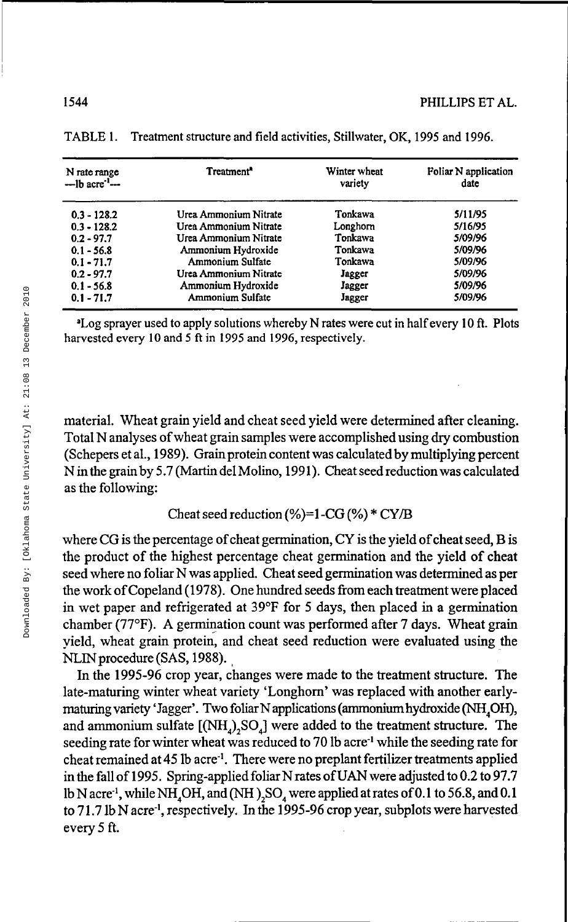| N rate range<br>$-$ lb acre <sup>-1</sup> $-$ | Treatment <sup>*</sup> | Winter wheat<br>variety | Foliar N application<br>date |
|-----------------------------------------------|------------------------|-------------------------|------------------------------|
| $0.3 - 128.2$                                 | Urea Ammonium Nitrate  | Tonkawa                 | 5/11/95                      |
| $0.3 - 128.2$                                 | Urea Ammonium Nitrate  | Longhorn                | 5/16/95                      |
| $0.2 - 97.7$                                  | Urea Ammonium Nitrate  | Tonkawa                 | 5/09/96                      |
| $0.1 - 56.8$                                  | Ammonium Hydroxide     | Tonkawa                 | 5/09/96                      |
| $0.1 - 71.7$                                  | Ammonium Sulfate       | Tonkawa                 | 5/09/96                      |
| $0.2 - 97.7$                                  | Urea Ammonium Nitrate  | Jagger                  | 5/09/96                      |
| $0.1 - 56.8$                                  | Ammonium Hydroxide     | Jagger                  | 5/09/96                      |
| $0.1 - 71.7$                                  | Ammonium Sulfate       | Jagger                  | 5/09/96                      |

TABLE 1. Treatment structure and field activities, Stillwater, OK, 1995 and 1996.

<sup>a</sup>Log sprayer used to apply solutions whereby N rates were cut in half every 10 ft. Plots harvested every 10 and 5 ft in 1995 and 1996, respectively.

material. Wheat grain yield and cheat seed yield were determined after cleaning. Total N analyses of wheat grain samples were accomplished using dry combustion (Schepers etal., 1989). Grain protein content was calculated by multiplying percent N in the grain by 5.7 (Martin del Molino, 1991). Cheat seed reduction was calculated as the following:

#### Cheat seed reduction (%)=1 -CG (%) \* CY/B

where CG is the percentage of cheat germination, CY is the yield of cheat seed, B is the product of the highest percentage cheat germination and the yield of cheat seed where no foliar N was applied. Cheat seed germination was determined as per the work of Copeland (1978). One hundred seeds from each treatment were placed in wet paper and refrigerated at 39°F for 5 days, then placed in a germination chamber (77°F). A germination count was performed after 7 days. Wheat grain yield, wheat grain protein, and cheat seed reduction were evaluated using the NLIN procedure (SAS, 1988).

In the 1995-96 crop year, changes were made to the treatment structure. The late-maturing winter wheat variety 'Longhorn' was replaced with another earlymaturing variety 'Jagger'. Two foliar N applications (ammonium hydroxide (NH<sub>4</sub>OH), and ammonium sulfate  $[(NH<sub>4</sub>), SO<sub>4</sub>]$  were added to the treatment structure. The seeding rate for winter wheat was reduced to 70 lb acre<sup>1</sup> while the seeding rate for cheat remained at 45 lb acre<sup>-1</sup>. There were no preplant fertilizer treatments applied in the fall of 1995. Spring-applied foliar N rates of UAN were adjusted to 0.2 to 97.7 lb N acre<sup>1</sup>, while NH<sub>4</sub>OH, and (NH), SO<sub>4</sub> were applied at rates of 0.1 to 56.8, and 0.1 to 71.7 lb N acre<sup>-1</sup>, respectively. In the 1995-96 crop year, subplots were harvested every 5 ft.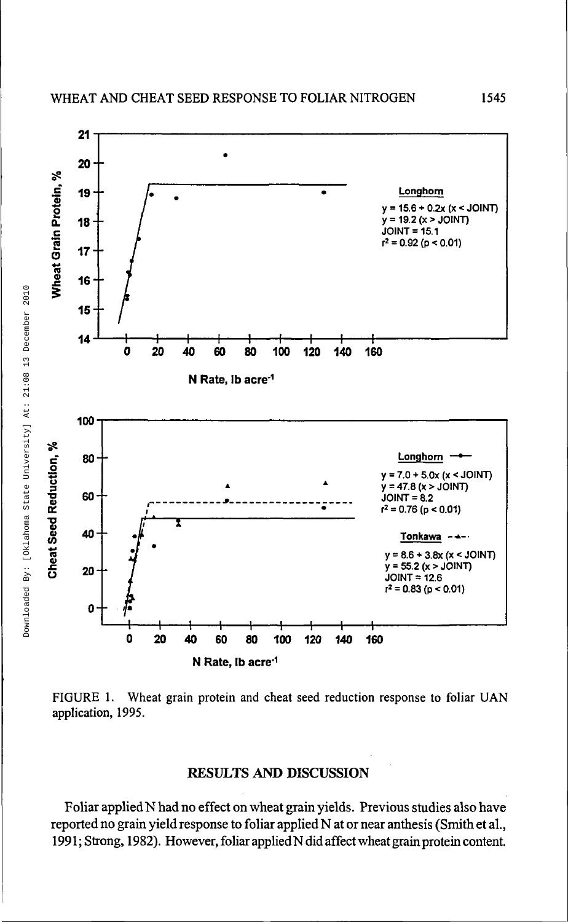

FIGURE 1. Wheat grain protein and cheat seed reduction response to foliar UAN application, 1995.

#### **RESULTS AND DISCUSSION**

Foliar applied N had no effect on wheat grain yields. Previous studies also have reported no grain yield response to foliar applied N at or near anthesis (Smith et al., 1991; Strong, 1982). However, foliar appliedN did affect wheat grain protein content.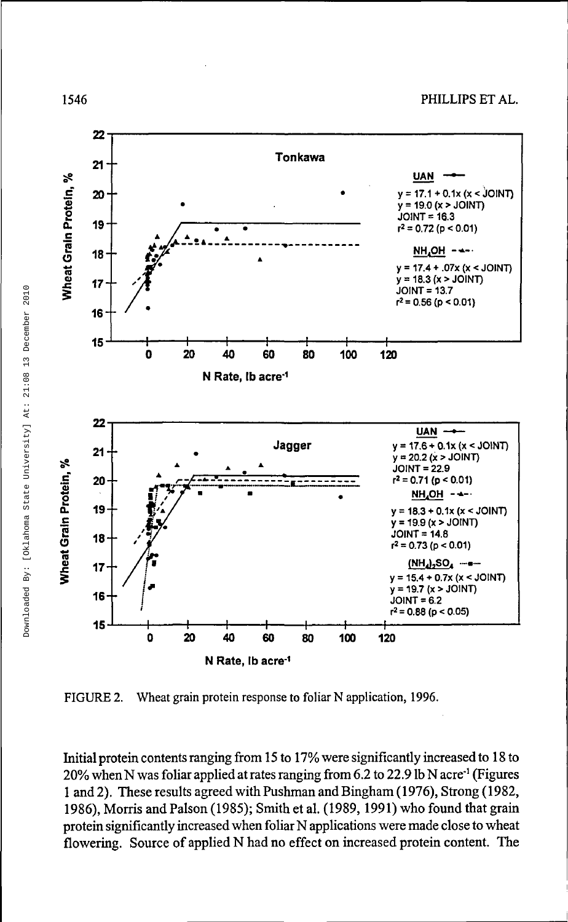

FIGURE *2.* Wheat grain protein response to foliar N application, 1996.

Initial protein contents ranging from 15 to 17% were significantly increased to 18 to 20% when N was foliar applied at rates ranging from 6.2 to 22.9 lb N acre'<sup>1</sup> (Figures 1 and 2). These results agreed with Pushman and Bingham (1976), Strong (1982, 1986), Morris and Palson (1985); Smith et al. (1989,1991) who found that grain protein significantly increased when foliar N applications were made close to wheat flowering. Source of applied N had no effect on increased protein content. The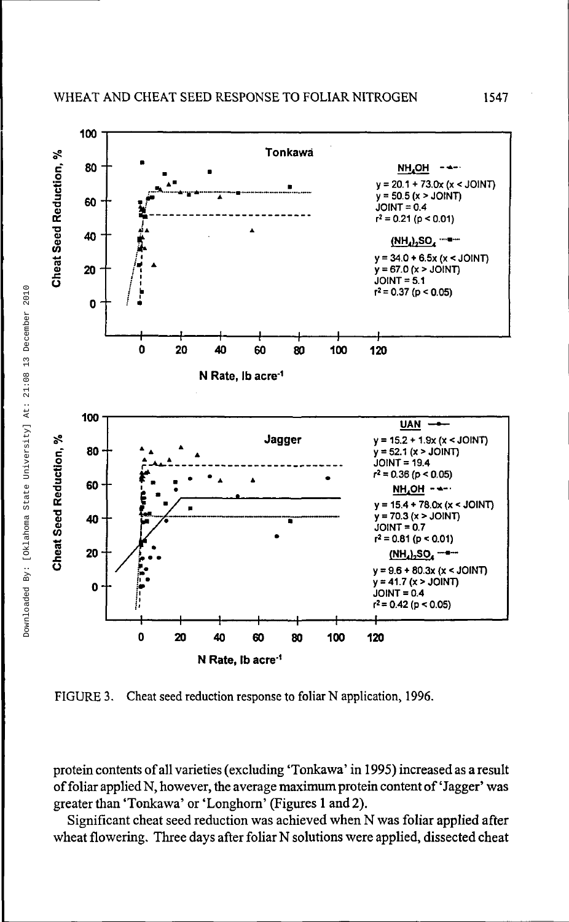

FIGURE 3. Cheat seed reduction response to foliar N application, 1996.

protein contents of all varieties (excluding 'Tonkawa' in 1995) increased as a result of foliar applied N, however, the average maximum protein content of 'Jagger' was greater than 'Tonkawa' or 'Longhorn' (Figures 1 and 2).

Significant cheat seed reduction was achieved when N was foliar applied after wheat flowering. Three days after foliar N solutions were applied, dissected cheat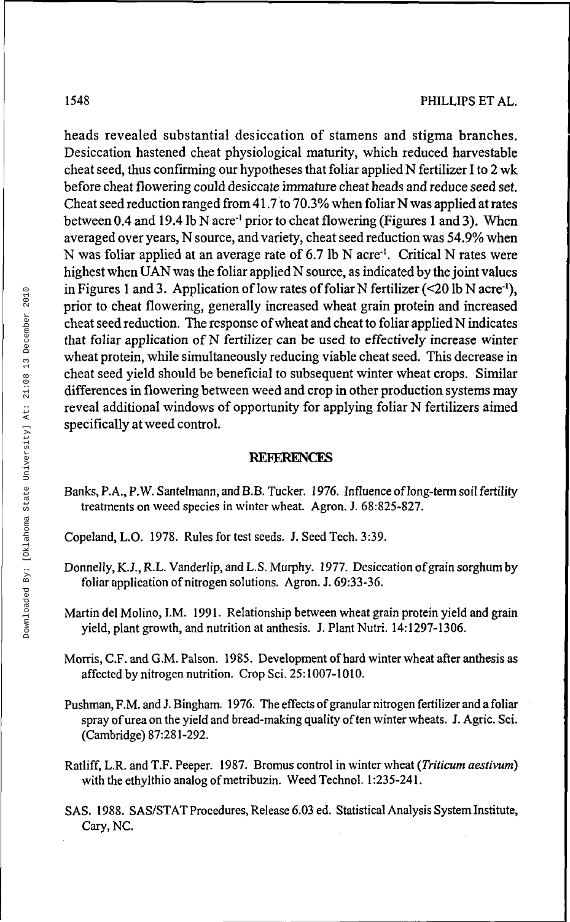heads revealed substantial desiccation of stamens and stigma branches. Desiccation hastened cheat physiological maturity, which reduced harvestable cheat seed, thus confirming our hypotheses that foliar applied N fertilizer I to 2 wk before cheat flowering could desiccate immature cheat heads and reduce seed set. Cheat seed reduction ranged from 41.7 to 70.3% when foliar N was applied at rates between 0.4 and 19.4 lb N acre<sup>-1</sup> prior to cheat flowering (Figures 1 and 3). When averaged over years, N source, and variety, cheat seed reduction was 54.9% when N was foliar applied at an average rate of 6.7 lb N acre<sup>1</sup>. Critical N rates were highest when UAN was the foliar applied N source, as indicated by the joint values in Figures 1 and 3. Application of low rates of foliar N fertilizer  $\left( \leq 20 \right)$  lb N acre<sup>-1</sup>). prior to cheat flowering, generally increased wheat grain protein and increased cheat seed reduction. The response of wheat and cheat to foliar applied N indicates that foliar application of N fertilizer can be used to effectively increase winter wheat protein, while simultaneously reducing viable cheat seed. This decrease in cheat seed yield should be beneficial to subsequent winter wheat crops. Similar differences in flowering between weed and crop in other production systems may reveal additional windows of opportunity for applying foliar N fertilizers aimed specifically at weed control.

#### **REFERENCES**

- Banks, P.A., P.W. Santelmann, and B.B. Tucker. 1976. Influence of long-term soil fertility treatments on weed species in winter wheat. Agron. J. 68:825-827.
- Copeland, L.O. 1978. Rules for test seeds. J. Seed Tech. 3:39.
- Donnelly, K.J., R.L. Vanderlip, and L.S. Murphy. 1977. Desiccation of grain sorghum by foliar application of nitrogen solutions. Agron. J. 69:33-36.
- Martin del Molino, I.M. 1991. Relationship between wheat grain protein yield and grain yield, plant growth, and nutrition at anthesis. J. Plant Nutri. 14:1297-1306.
- Morris, C.F. and G.M. Palson. 1985. Development of hard winter wheat after anthesis as affected by nitrogen nutrition. Crop Sci. 25:1007-1010.
- Pushman, F.M. and J. Bingham. 1976. The effects of granular nitrogen fertilizer and a foliar spray of urea on the yield and bread-making quality of ten winter wheats. J. Agric. Sci. (Cambridge) 87:281-292.
- Ratliff, L.R. and T.F. Peeper. 1987. Bromus control in winter wheat *(Triticum aestivum)* with the ethylthio analog of metribuzin. Weed Technol. 1:235-241.
- SAS. 1988. SAS/STAT Procedures, Release 6.03 ed. Statistical Analysis System Institute, Cary, NC.